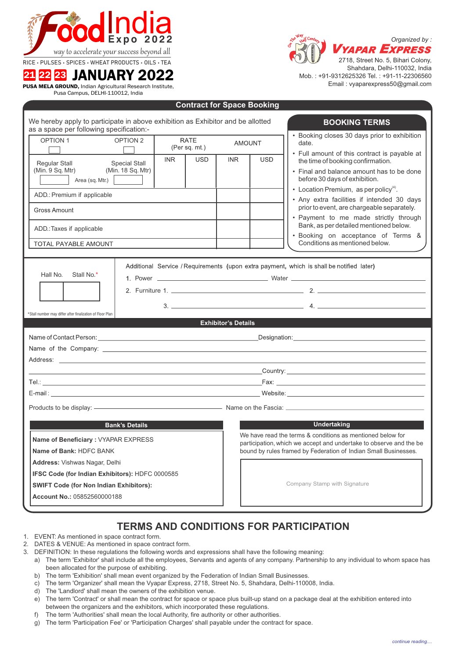

RICE • PULSES • SPICES • WHEAT PRODUCTS • OILS • TEA

# <sup>21</sup> <sup>22</sup> <sup>23</sup> JANUARY 2022

PUSA MELA GROUND, Indian Agricultural Research Institute, Pusa Campus, DELHI-110012, India



Shahdara, Delhi-110032, India Mob. : +91-9312625326 Tel. : +91-11-22306560 Email : vyaparexpress50@gmail.com

| We hereby apply to participate in above exhibition as Exhibitor and be allotted<br>as a space per following specification:- |                                           |      |                              |                                                                                                                                                                                                                                         |                                                                                                                                  | <b>BOOKING TERMS</b>                                                                                                                                                                                                                                                    |  |
|-----------------------------------------------------------------------------------------------------------------------------|-------------------------------------------|------|------------------------------|-----------------------------------------------------------------------------------------------------------------------------------------------------------------------------------------------------------------------------------------|----------------------------------------------------------------------------------------------------------------------------------|-------------------------------------------------------------------------------------------------------------------------------------------------------------------------------------------------------------------------------------------------------------------------|--|
| <b>OPTION 1</b>                                                                                                             | OPTION <sub>2</sub>                       |      | <b>RATE</b><br>(Per sq. mt.) |                                                                                                                                                                                                                                         | <b>AMOUNT</b>                                                                                                                    | • Booking closes 30 days prior to exhibition<br>date.                                                                                                                                                                                                                   |  |
| Regular Stall<br>(Min. 9 Sq. Mtr)<br>Area (sq. Mtr.)                                                                        | <b>Special Stall</b><br>(Min. 18 Sq. Mtr) | INR. | <b>USD</b>                   | <b>INR</b>                                                                                                                                                                                                                              | <b>USD</b>                                                                                                                       | • Full amount of this contract is payable at<br>the time of booking confirmation.<br>• Final and balance amount has to be done<br>before 30 days of exhibition.                                                                                                         |  |
| ADD.: Premium if applicable                                                                                                 |                                           |      |                              |                                                                                                                                                                                                                                         |                                                                                                                                  | • Location Premium, as per policy <sup>(4)</sup> .<br>• Any extra facilities if intended 30 days<br>prior to event, are chargeable separately.<br>· Payment to me made strictly through<br>Bank, as per detailed mentioned below.<br>· Booking on acceptance of Terms & |  |
| Gross Amount                                                                                                                |                                           |      |                              |                                                                                                                                                                                                                                         |                                                                                                                                  |                                                                                                                                                                                                                                                                         |  |
| ADD.: Taxes if applicable                                                                                                   |                                           |      |                              |                                                                                                                                                                                                                                         |                                                                                                                                  |                                                                                                                                                                                                                                                                         |  |
| <b>TOTAL PAYABLE AMOUNT</b>                                                                                                 |                                           |      |                              |                                                                                                                                                                                                                                         |                                                                                                                                  | Conditions as mentioned below.                                                                                                                                                                                                                                          |  |
| Hall No.<br>Stall No.*                                                                                                      |                                           |      |                              | Additional Service / Requirements (upon extra payment, which is shall be notified later)                                                                                                                                                |                                                                                                                                  |                                                                                                                                                                                                                                                                         |  |
| *Stall number may differ after finalization of Floor Plan                                                                   |                                           |      |                              |                                                                                                                                                                                                                                         |                                                                                                                                  |                                                                                                                                                                                                                                                                         |  |
|                                                                                                                             |                                           |      |                              | <b>Exhibitor's Details</b>                                                                                                                                                                                                              |                                                                                                                                  |                                                                                                                                                                                                                                                                         |  |
|                                                                                                                             |                                           |      |                              |                                                                                                                                                                                                                                         |                                                                                                                                  | Designation: the contract of the contract of the contract of the contract of the contract of the contract of the contract of the contract of the contract of the contract of the contract of the contract of the contract of t                                          |  |
|                                                                                                                             |                                           |      |                              |                                                                                                                                                                                                                                         |                                                                                                                                  |                                                                                                                                                                                                                                                                         |  |
|                                                                                                                             |                                           |      |                              |                                                                                                                                                                                                                                         |                                                                                                                                  |                                                                                                                                                                                                                                                                         |  |
|                                                                                                                             |                                           |      |                              |                                                                                                                                                                                                                                         |                                                                                                                                  |                                                                                                                                                                                                                                                                         |  |
|                                                                                                                             |                                           |      |                              |                                                                                                                                                                                                                                         |                                                                                                                                  |                                                                                                                                                                                                                                                                         |  |
|                                                                                                                             |                                           |      |                              | Products to be display: ———————————————————— Name on the Fascia: <b>[18]</b> Name on the Fascia: <b>[28]</b> Name on the Fascia: [28] Name on the Fascia: [28] Name on the Fascia: [28] Name of the Base of the Base of the Base of the |                                                                                                                                  |                                                                                                                                                                                                                                                                         |  |
|                                                                                                                             | <b>Bank's Details</b>                     |      |                              |                                                                                                                                                                                                                                         |                                                                                                                                  | <b>Undertaking</b>                                                                                                                                                                                                                                                      |  |
| Name of Beneficiary: VYAPAR EXPRESS                                                                                         |                                           |      |                              |                                                                                                                                                                                                                                         | We have read the terms & conditions as mentioned below for<br>participation, which we accept and undertake to observe and the be |                                                                                                                                                                                                                                                                         |  |
| Name of Bank: HDFC BANK                                                                                                     |                                           |      |                              |                                                                                                                                                                                                                                         |                                                                                                                                  | bound by rules framed by Federation of Indian Small Businesses.                                                                                                                                                                                                         |  |
| <b>Address: Vishwas Nagar, Delhi</b>                                                                                        |                                           |      |                              |                                                                                                                                                                                                                                         |                                                                                                                                  |                                                                                                                                                                                                                                                                         |  |
| <b>IFSC Code (for Indian Exhibitors): HDFC 0000585</b>                                                                      |                                           |      |                              | Company Stamp with Signature                                                                                                                                                                                                            |                                                                                                                                  |                                                                                                                                                                                                                                                                         |  |
| <b>SWIFT Code (for Non Indian Exhibitors):</b>                                                                              |                                           |      |                              |                                                                                                                                                                                                                                         |                                                                                                                                  |                                                                                                                                                                                                                                                                         |  |
| Account No.: 05852560000188                                                                                                 |                                           |      |                              |                                                                                                                                                                                                                                         |                                                                                                                                  |                                                                                                                                                                                                                                                                         |  |

**Contract for Space Booking**

## **TERMS AND CONDITIONS FOR PARTICIPATION**

- 1. EVENT: As mentioned in space contract form.
- 2. DATES & VENUE: As mentioned in space contract form.
- 3. DEFINITION: In these regulations the following words and expressions shall have the following meaning:
	- a) The term 'Exhibitor' shall include all the employees, Servants and agents of any company. Partnership to any individual to whom space has been allocated for the purpose of exhibiting.
	- b) The term 'Exhibition' shall mean event organized by the Federation of Indian Small Businesses.
	- c) The term 'Organizer' shall mean the Vyapar Express, 2718, Street No. 5, Shahdara, Delhi-110008, India.
	- d) The 'Landlord' shall mean the owners of the exhibition venue.
	- e) The term 'Contract' or shall mean the contract for space or space plus built-up stand on a package deal at the exhibition entered into between the organizers and the exhibitors, which incorporated these regulations.
	- f) The term 'Authorities' shall mean the local Authority, fire authority or other authorities.
	- g) The term 'Participation Fee' or 'Participation Charges' shall payable under the contract for space.